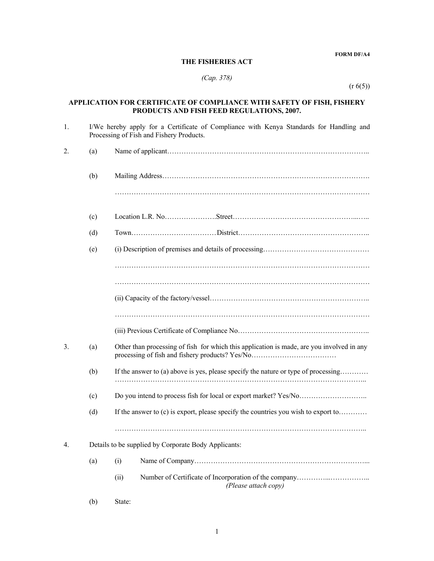#### **FORM DF/A4**

#### **THE FISHERIES ACT**

### *(Cap. 378)*

(r 6(5))

# **APPLICATION FOR CERTIFICATE OF COMPLIANCE WITH SAFETY OF FISH, FISHERY PRODUCTS AND FISH FEED REGULATIONS, 2007.**

| 1. |     | I/We hereby apply for a Certificate of Compliance with Kenya Standards for Handling and<br>Processing of Fish and Fishery Products. |  |  |  |  |  |  |  |  |  |
|----|-----|-------------------------------------------------------------------------------------------------------------------------------------|--|--|--|--|--|--|--|--|--|
| 2. | (a) |                                                                                                                                     |  |  |  |  |  |  |  |  |  |
|    | (b) |                                                                                                                                     |  |  |  |  |  |  |  |  |  |
|    |     |                                                                                                                                     |  |  |  |  |  |  |  |  |  |
|    | (c) |                                                                                                                                     |  |  |  |  |  |  |  |  |  |
|    | (d) |                                                                                                                                     |  |  |  |  |  |  |  |  |  |
|    | (e) |                                                                                                                                     |  |  |  |  |  |  |  |  |  |
|    |     |                                                                                                                                     |  |  |  |  |  |  |  |  |  |
|    |     |                                                                                                                                     |  |  |  |  |  |  |  |  |  |
|    |     |                                                                                                                                     |  |  |  |  |  |  |  |  |  |
|    |     |                                                                                                                                     |  |  |  |  |  |  |  |  |  |
|    |     |                                                                                                                                     |  |  |  |  |  |  |  |  |  |
| 3. | (a) | Other than processing of fish for which this application is made, are you involved in any                                           |  |  |  |  |  |  |  |  |  |
|    | (b) | If the answer to (a) above is yes, please specify the nature or type of processing                                                  |  |  |  |  |  |  |  |  |  |
|    | (c) |                                                                                                                                     |  |  |  |  |  |  |  |  |  |
|    | (d) | If the answer to (c) is export, please specify the countries you wish to export to                                                  |  |  |  |  |  |  |  |  |  |
|    |     |                                                                                                                                     |  |  |  |  |  |  |  |  |  |
| 4. |     | Details to be supplied by Corporate Body Applicants:                                                                                |  |  |  |  |  |  |  |  |  |
|    | (a) | (i)                                                                                                                                 |  |  |  |  |  |  |  |  |  |
|    |     | (ii)<br>(Please attach copy)                                                                                                        |  |  |  |  |  |  |  |  |  |

## (b) State: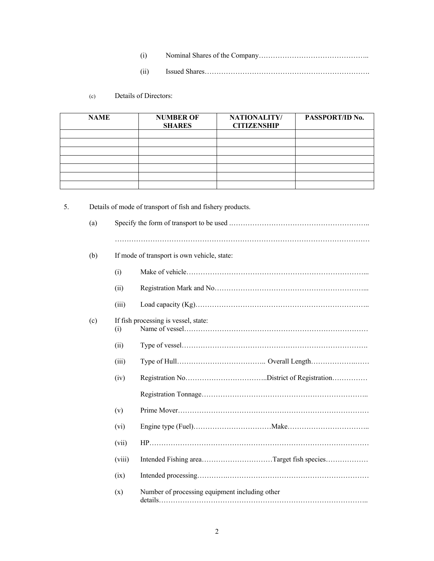- (i) Nominal Shares of the Company………………………………………..
- (ii) Issued Shares…………………………………………………………….

### (c) Details of Directors:

| <b>NAME</b> | <b>NUMBER OF</b><br><b>SHARES</b> | NATIONALITY/<br><b>CITIZENSHIP</b> | PASSPORT/ID No. |
|-------------|-----------------------------------|------------------------------------|-----------------|
|             |                                   |                                    |                 |
|             |                                   |                                    |                 |
|             |                                   |                                    |                 |
|             |                                   |                                    |                 |
|             |                                   |                                    |                 |
|             |                                   |                                    |                 |
|             |                                   |                                    |                 |

| (a) |        |                                                |
|-----|--------|------------------------------------------------|
|     |        |                                                |
| (b) |        | If mode of transport is own vehicle, state:    |
|     | (i)    |                                                |
|     | (ii)   |                                                |
|     | (iii)  |                                                |
| (c) | (i)    | If fish processing is vessel, state:           |
|     | (ii)   |                                                |
|     | (iii)  |                                                |
|     | (iv)   |                                                |
|     |        |                                                |
|     | (v)    |                                                |
|     | (vi)   |                                                |
|     | (vii)  |                                                |
|     | (viii) | Intended Fishing areaTarget fish species       |
|     | (ix)   |                                                |
|     | (x)    | Number of processing equipment including other |

5. Details of mode of transport of fish and fishery products.